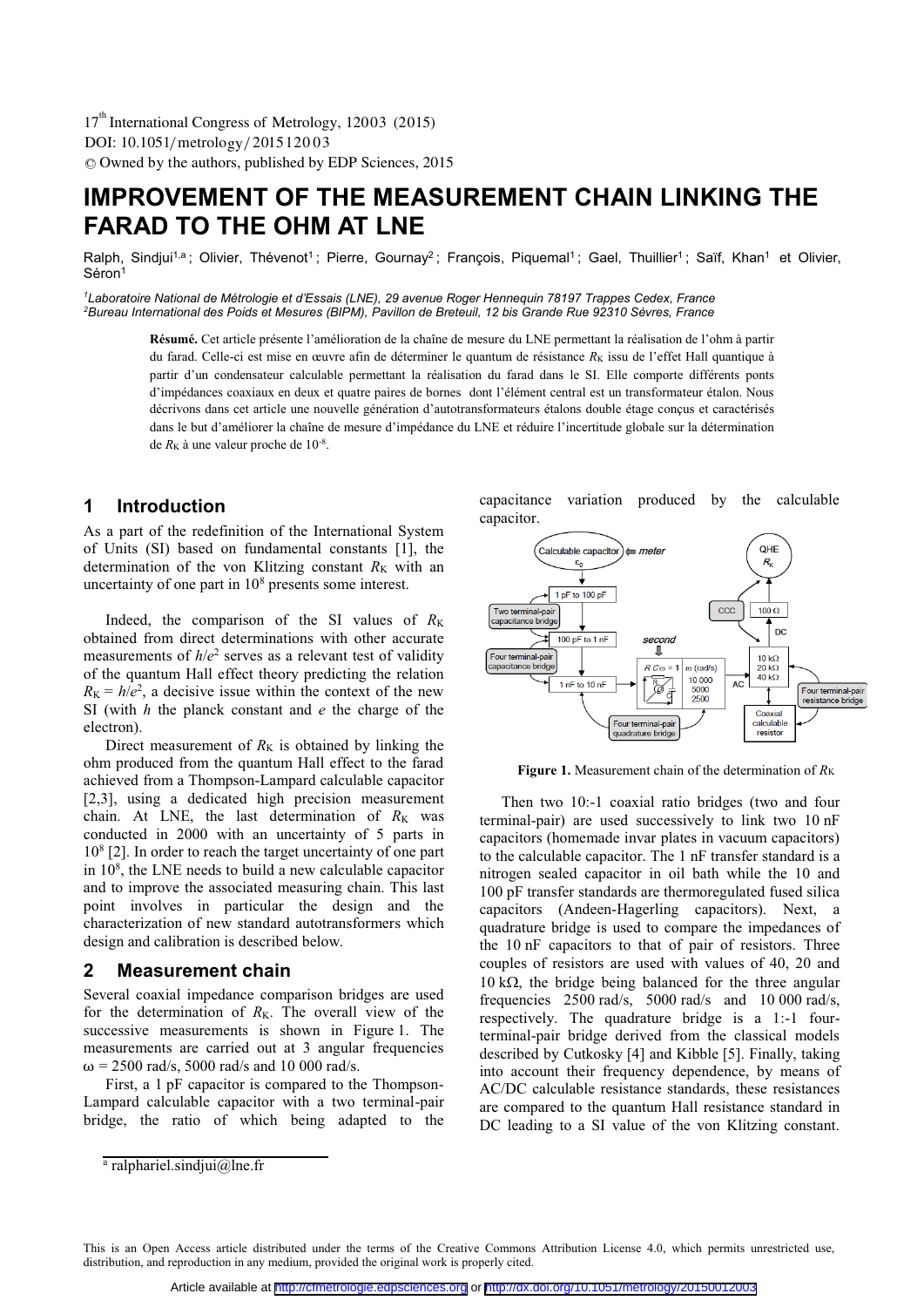DOI: 10.1051/ metrology/2015 120 0 3 -<sup>C</sup> Owned by the authors, published by EDP Sciences, 2015 17<sup>th</sup> International Congress of Metrology, 12003 (2015)

# **IMPROVEMENT OF THE MEASUREMENT CHAIN LINKING THE FARAD TO THE OHM AT LNE**

Ralph, Sindjui<sup>1,a</sup>; Olivier, Thévenot<sup>1</sup>; Pierre, Gournay<sup>2</sup>; François, Piquemal<sup>1</sup>; Gael, Thuillier<sup>1</sup>; Saïf, Khan<sup>1</sup> et Olivier, Séron<sup>1</sup>

<sup>1</sup>Laboratoire National de Métrologie et d'Essais (LNE), 29 avenue Roger Hennequin 78197 Trappes Cedex, France 'Laboratoire National de Métrologie et d'Essais (LNE), 29 avenue Roger Hennequin 78197 Trappes Cedex, France<br><sup>2</sup>Bureau International des Poids et Mesures (BIPM), Pavillon de Breteuil, 12 bis Grande Rue 92310 Sèvres, France

> **Résumé.** Cet article présente l'amélioration de la chaîne de mesure du LNE permettant la réalisation de l'ohm à partir du farad. Celle-ci est mise en œuvre afin de déterminer le quantum de résistance R<sub>K</sub> issu de l'effet Hall quantique à partir d'un condensateur calculable permettant la réalisation du farad dans le SI. Elle comporte différents ponts d'impédances coaxiaux en deux et quatre paires de bornes dont l'élément central est un transformateur étalon. Nous décrivons dans cet article une nouvelle génération d'autotransformateurs étalons double étage conçus et caractérisés dans le but d'améliorer la chaîne de mesure d'impédance du LNE et réduire l'incertitude globale sur la détermination de  $R_K$  à une valeur proche de  $10^{-8}$ .

# **1 Introduction**

As a part of the redefinition of the International System of Units (SI) based on fundamental constants [1], the determination of the von Klitzing constant  $R_K$  with an uncertainty of one part in  $10<sup>8</sup>$  presents some interest.

Indeed, the comparison of the SI values of  $R_K$ obtained from direct determinations with other accurate measurements of  $h/e^2$  serves as a relevant test of validity of the quantum Hall effect theory predicting the relation  $R_{\rm K} = h/e^2$ , a decisive issue within the context of the new SI (with *h* the planck constant and *e* the charge of the electron).

Direct measurement of  $R_K$  is obtained by linking the ohm produced from the quantum Hall effect to the farad achieved from a Thompson-Lampard calculable capacitor [2,3], using a dedicated high precision measurement chain. At LNE, the last determination of  $R_K$  was conducted in 2000 with an uncertainty of 5 parts in 108 [2]. In order to reach the target uncertainty of one part in 108 , the LNE needs to build a new calculable capacitor and to improve the associated measuring chain. This last point involves in particular the design and the characterization of new standard autotransformers which design and calibration is described below.

## **2 Measurement chain**

Several coaxial impedance comparison bridges are used for the determination of  $R_K$ . The overall view of the successive measurements is shown in Figure 1. The measurements are carried out at 3 angular frequencies  $ω = 2500$  rad/s, 5000 rad/s and 10 000 rad/s.

First, a 1 pF capacitor is compared to the Thompson-Lampard calculable capacitor with a two terminal-pair bridge, the ratio of which being adapted to the capacitance variation produced by the calculable capacitor.



Figure 1. Measurement chain of the determination of  $R_K$ 

Then two 10:-1 coaxial ratio bridges (two and four terminal-pair) are used successively to link two 10 nF capacitors (homemade invar plates in vacuum capacitors) to the calculable capacitor. The 1 nF transfer standard is a nitrogen sealed capacitor in oil bath while the 10 and 100 pF transfer standards are thermoregulated fused silica capacitors (Andeen-Hagerling capacitors). Next, a quadrature bridge is used to compare the impedances of the 10 nF capacitors to that of pair of resistors. Three couples of resistors are used with values of 40, 20 and  $10 \text{ k}\Omega$ , the bridge being balanced for the three angular frequencies 2500 rad/s, 5000 rad/s and 10 000 rad/s, respectively. The quadrature bridge is a 1:-1 fourterminal-pair bridge derived from the classical models described by Cutkosky [4] and Kibble [5]. Finally, taking into account their frequency dependence, by means of AC/DC calculable resistance standards, these resistances are compared to the quantum Hall resistance standard in DC leading to a SI value of the von Klitzing constant.

<sup>&</sup>lt;sup>a</sup> ralphariel.sindjui@lne.fr

This is an Open Access article distributed under the terms of the Creative Commons Attribution License 4.0, which permits unrestricted use, distribution, and reproduction in any medium, provided the original work is properly cited.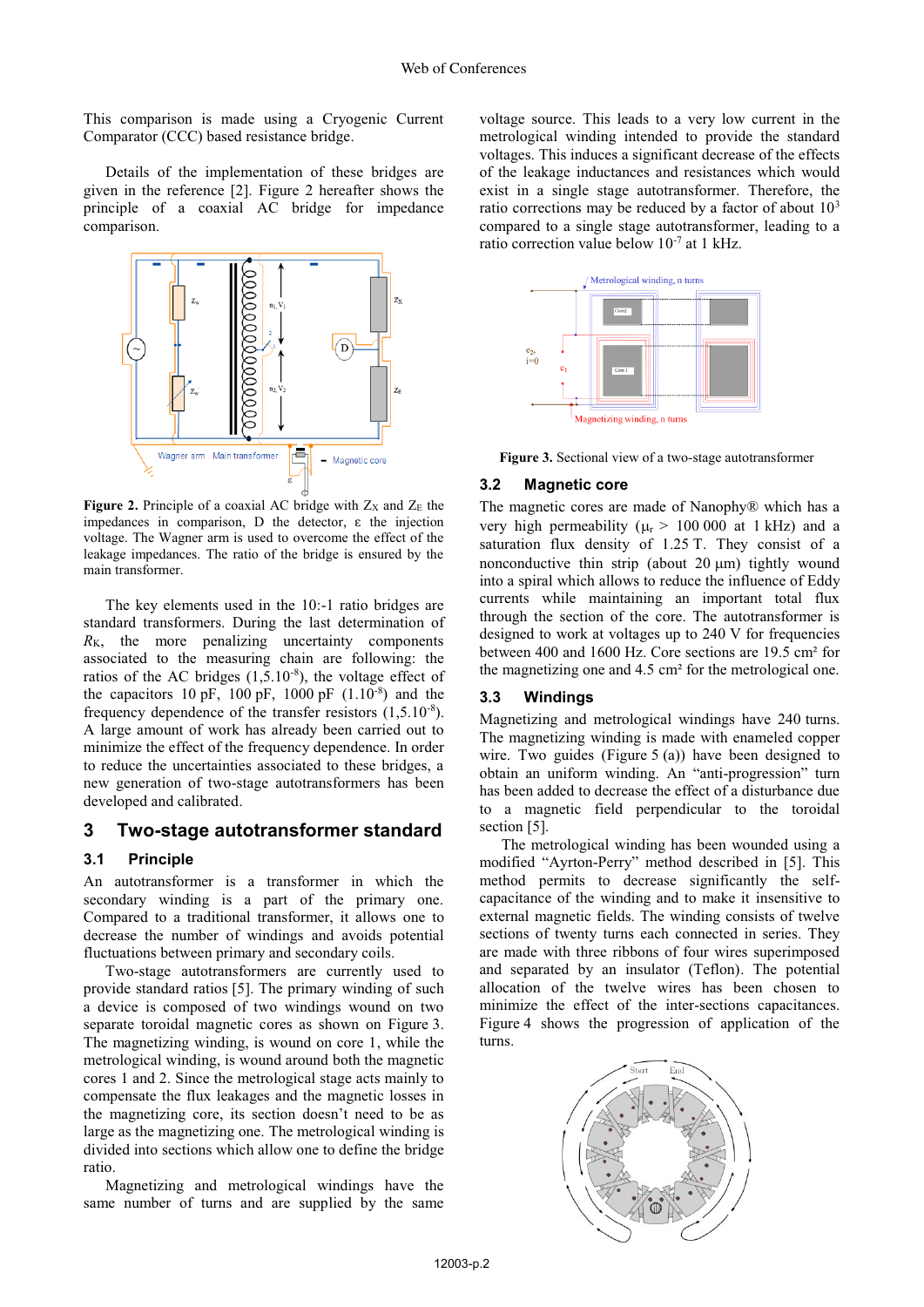This comparison is made using a Cryogenic Current Comparator (CCC) based resistance bridge.

Details of the implementation of these bridges are given in the reference [2]. Figure 2 hereafter shows the principle of a coaxial AC bridge for impedance comparison.



**Figure 2.** Principle of a coaxial AC bridge with  $Z_x$  and  $Z_E$  the impedances in comparison, D the detector,  $\varepsilon$  the injection voltage. The Wagner arm is used to overcome the effect of the leakage impedances. The ratio of the bridge is ensured by the main transformer.

The key elements used in the 10:-1 ratio bridges are standard transformers. During the last determination of  $R_K$ , the more penalizing uncertainty components associated to the measuring chain are following: the ratios of the AC bridges  $(1,5.10^{-8})$ , the voltage effect of the capacitors 10 pF, 100 pF, 1000 pF  $(1.10^{-8})$  and the frequency dependence of the transfer resistors (1,5.10-8). A large amount of work has already been carried out to minimize the effect of the frequency dependence. In order to reduce the uncertainties associated to these bridges, a new generation of two-stage autotransformers has been developed and calibrated.

## **3 Two-stage autotransformer standard**

#### **3.1 Principle**

An autotransformer is a transformer in which the secondary winding is a part of the primary one. Compared to a traditional transformer, it allows one to decrease the number of windings and avoids potential fluctuations between primary and secondary coils.

Two-stage autotransformers are currently used to provide standard ratios [5]. The primary winding of such a device is composed of two windings wound on two separate toroidal magnetic cores as shown on Figure 3. The magnetizing winding, is wound on core 1, while the metrological winding, is wound around both the magnetic cores 1 and 2. Since the metrological stage acts mainly to compensate the flux leakages and the magnetic losses in the magnetizing core, its section doesn't need to be as large as the magnetizing one. The metrological winding is divided into sections which allow one to define the bridge ratio.

Magnetizing and metrological windings have the same number of turns and are supplied by the same

voltage source. This leads to a very low current in the metrological winding intended to provide the standard voltages. This induces a significant decrease of the effects of the leakage inductances and resistances which would exist in a single stage autotransformer. Therefore, the ratio corrections may be reduced by a factor of about  $10<sup>3</sup>$ compared to a single stage autotransformer, leading to a ratio correction value below 10-7 at 1 kHz.



**Figure 3.** Sectional view of a two-stage autotransformer<br>**3.2 Magnetic core** 

## **3.2 Magnetic core**

The magnetic cores are made of Nanophy® which has a very high permeability ( $\mu$ <sup>r</sup> > 100 000 at 1 kHz) and a saturation flux density of 1.25 T. They consist of a nonconductive thin strip (about  $20 \mu m$ ) tightly wound into a spiral which allows to reduce the influence of Eddy currents while maintaining an important total flux through the section of the core. The autotransformer is designed to work at voltages up to 240 V for frequencies between 400 and 1600 Hz. Core sections are 19.5 cm² for the magnetizing one and 4.5 cm² for the metrological one.

#### **3.3 Windings**

Magnetizing and metrological windings have 240 turns. The magnetizing winding is made with enameled copper wire. Two guides (Figure 5 (a)) have been designed to obtain an uniform winding. An "anti-progression" turn has been added to decrease the effect of a disturbance due to a magnetic field perpendicular to the toroidal section [5].

The metrological winding has been wounded using a modified "Ayrton-Perry" method described in [5]. This method permits to decrease significantly the selfcapacitance of the winding and to make it insensitive to external magnetic fields. The winding consists of twelve sections of twenty turns each connected in series. They are made with three ribbons of four wires superimposed and separated by an insulator (Teflon). The potential allocation of the twelve wires has been chosen to minimize the effect of the inter-sections capacitances. Figure 4 shows the progression of application of the turns.

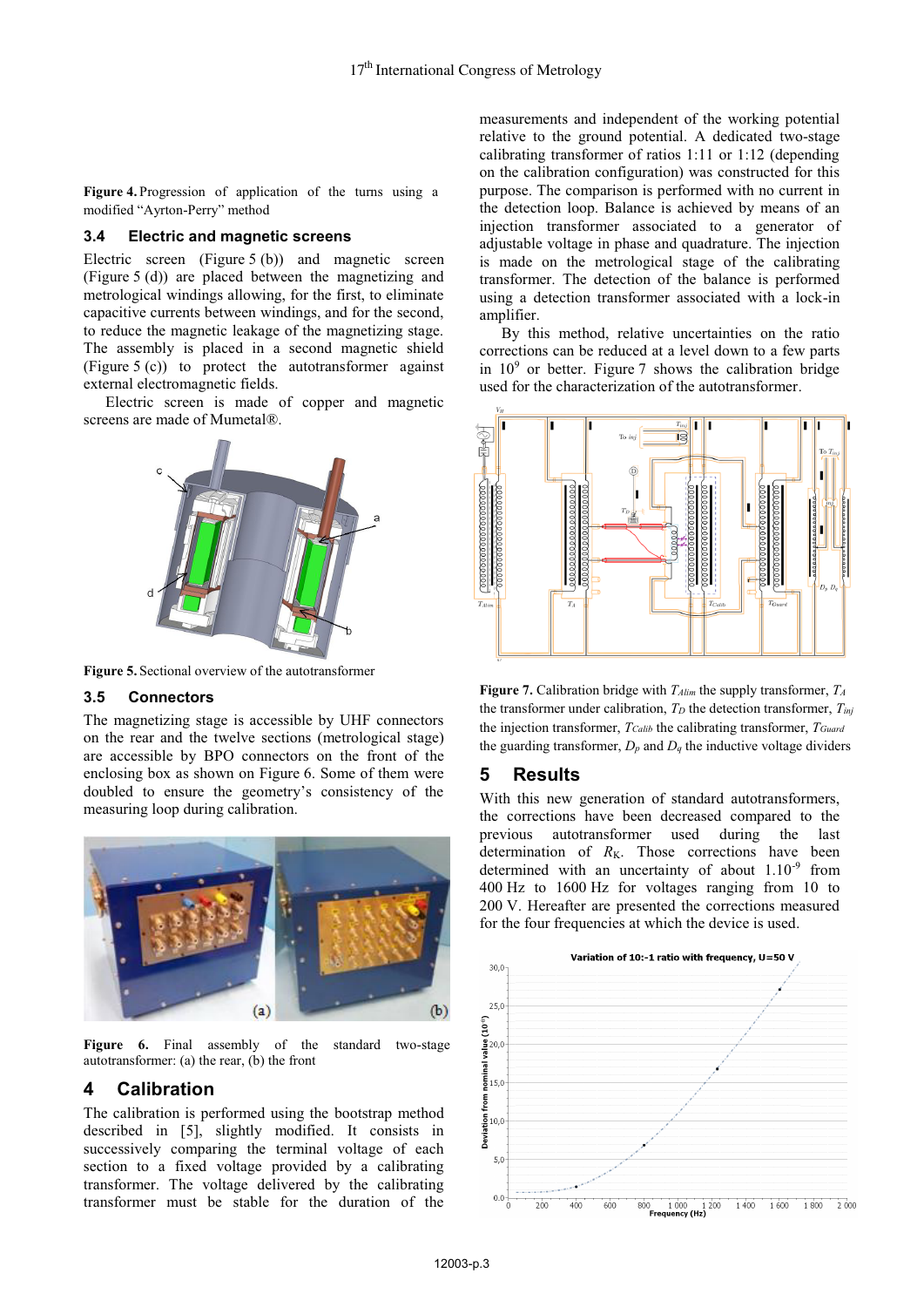**Figure 4.** Progression of application of the turns using a modified "Ayrton-Perry" method

#### **3.4 Electric and magnetic screens**

Electric screen (Figure 5 (b)) and magnetic screen (Figure 5 (d)) are placed between the magnetizing and metrological windings allowing, for the first, to eliminate capacitive currents between windings, and for the second, to reduce the magnetic leakage of the magnetizing stage. The assembly is placed in a second magnetic shield (Figure 5 (c)) to protect the autotransformer against external electromagnetic fields.

Electric screen is made of copper and magnetic screens are made of Mumetal®.



**Figure 5.** Sectional overview of the autotransformer<br> **3.5** Connectors

#### **3.5 Connectors**

The magnetizing stage is accessible by UHF connectors on the rear and the twelve sections (metrological stage) are accessible by BPO connectors on the front of the enclosing box as shown on Figure 6. Some of them were doubled to ensure the geometry's consistency of the measuring loop during calibration.



**Figure 6.** Final assembly of the standard two-stage autotransformer: (a) the rear, (b) the front

# **4 Calibration**

The calibration is performed using the bootstrap method described in [5], slightly modified. It consists in successively comparing the terminal voltage of each section to a fixed voltage provided by a calibrating transformer. The voltage delivered by the calibrating transformer must be stable for the duration of the

measurements and independent of the working potential relative to the ground potential. A dedicated two-stage calibrating transformer of ratios 1:11 or 1:12 (depending on the calibration configuration) was constructed for this purpose. The comparison is performed with no current in the detection loop. Balance is achieved by means of an injection transformer associated to a generator of adjustable voltage in phase and quadrature. The injection is made on the metrological stage of the calibrating transformer. The detection of the balance is performed using a detection transformer associated with a lock-in amplifier.

By this method, relative uncertainties on the ratio corrections can be reduced at a level down to a few parts in  $10<sup>9</sup>$  or better. Figure 7 shows the calibration bridge used for the characterization of the autotransformer.



**Figure 7.** Calibration bridge with *TAlim* the supply transformer, *TA* the transformer under calibration,  $T_D$  the detection transformer,  $T_{ini}$ the injection transformer, *TCalib* the calibrating transformer, *TGuard* the guarding transformer,  $D_p$  and  $D_q$  the inductive voltage dividers

## **5 Results**

With this new generation of standard autotransformers, the corrections have been decreased compared to the previous autotransformer used during the last determination of  $R_K$ . Those corrections have been determined with an uncertainty of about  $1.10^{-9}$  from 400 Hz to 1600 Hz for voltages ranging from 10 to 200 V. Hereafter are presented the corrections measured for the four frequencies at which the device is used.